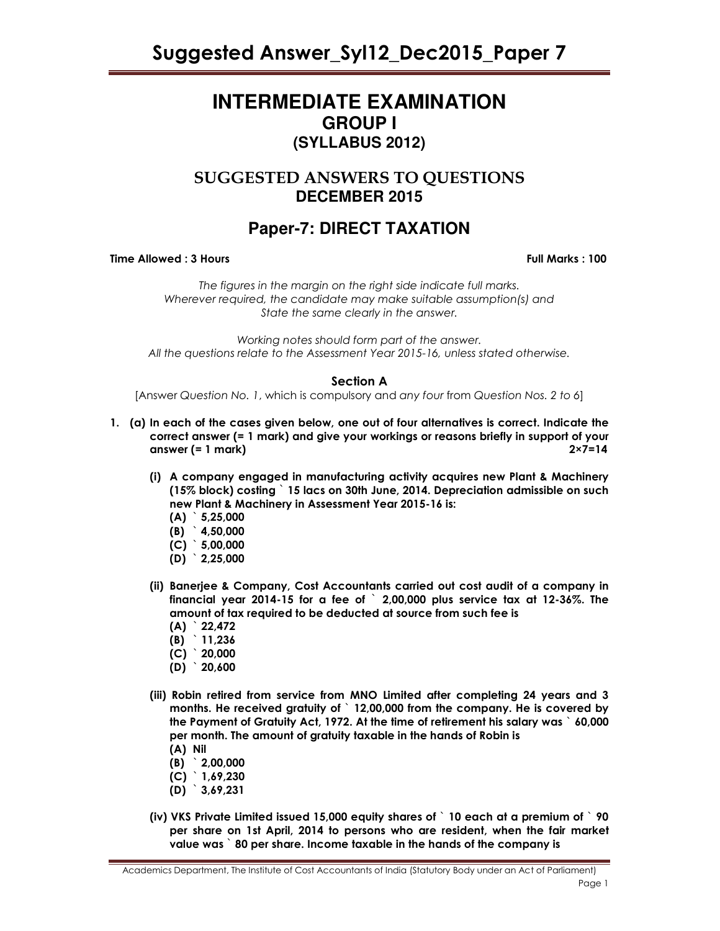# **INTERMEDIATE EXAMINATION GROUP I (SYLLABUS 2012)**

# SUGGESTED ANSWERS TO QUESTIONS **DECEMBER 2015**

# **Paper-7: DIRECT TAXATION**

Time Allowed : 3 Hours Full Marks : 100

The figures in the margin on the right side indicate full marks. Wherever required, the candidate may make suitable assumption(s) and State the same clearly in the answer.

Working notes should form part of the answer. All the questions relate to the Assessment Year 2015-16, unless stated otherwise.

# Section A

[Answer Question No. 1, which is compulsory and any four from Question Nos. 2 to 6]

- 1. (a) In each of the cases given below, one out of four alternatives is correct. Indicate the correct answer (= 1 mark) and give your workings or reasons briefly in support of your answer (= 1 mark) 2×7=14
	- (i) A company engaged in manufacturing activity acquires new Plant & Machinery (15% block) costing ` 15 lacs on 30th June, 2014. Depreciation admissible on such new Plant & Machinery in Assessment Year 2015-16 is:
		- $(A)$  5,25,000
		- (B) ` 4,50,000
		- $(C)$  5,00,000
		- $(D)$  2,25,000
	- (ii) Banerjee & Company, Cost Accountants carried out cost audit of a company in financial year 2014-15 for a fee of ` 2,00,000 plus service tax at 12-36%. The amount of tax required to be deducted at source from such fee is
		- $(A)$  22,472
		- (B) ` 11,236
		- $(C)$  20,000
		- $(D)$  20,600
	- (iii) Robin retired from service from MNO Limited after completing 24 years and 3 months. He received gratuity of ` 12,00,000 from the company. He is covered by the Payment of Gratuity Act, 1972. At the time of retirement his salary was ` 60,000 per month. The amount of gratuity taxable in the hands of Robin is
		- (A) Nil
		- (B) ` 2,00,000
		- (C) ` 1,69,230
		- (D) ` 3,69,231
	- (iv) VKS Private Limited issued 15,000 equity shares of ` 10 each at a premium of ` 90 per share on 1st April, 2014 to persons who are resident, when the fair market value was ` 80 per share. Income taxable in the hands of the company is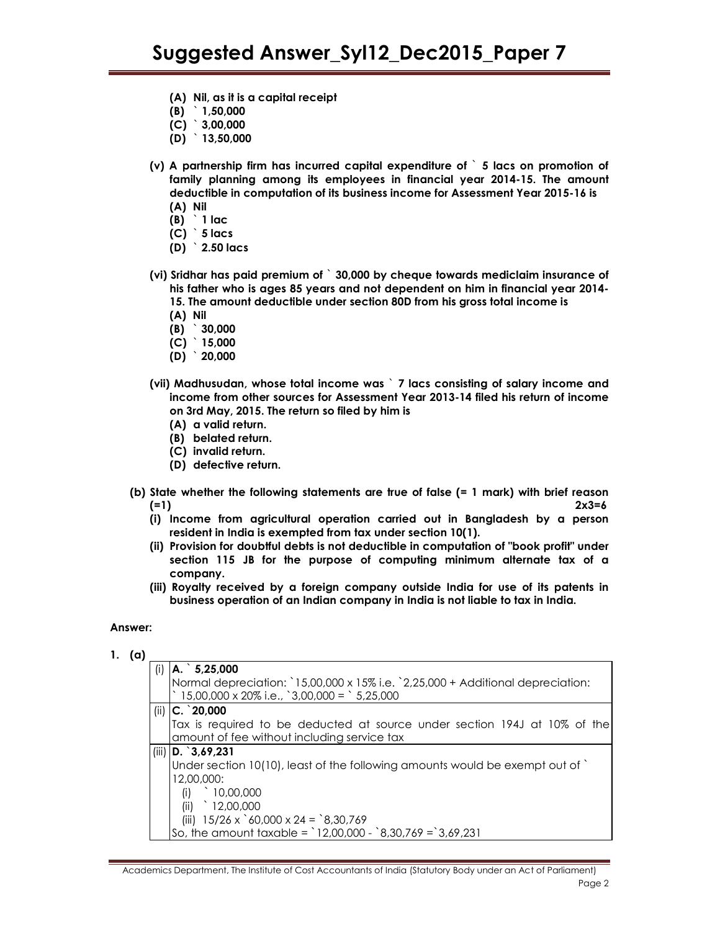- (A) Nil, as it is a capital receipt
- (B) ` 1,50,000
- $(C)$  3,00,000
- (D) ` 13,50,000
- (v) A partnership firm has incurred capital expenditure of ` 5 lacs on promotion of family planning among its employees in financial year 2014-15. The amount deductible in computation of its business income for Assessment Year 2015-16 is (A) Nil
	- $(B)$  1 lac
	- $(C)$  5 lacs
	- $(D)$  2.50 lacs
- (vi) Sridhar has paid premium of ` 30,000 by cheque towards mediclaim insurance of his father who is ages 85 years and not dependent on him in financial year 2014- 15. The amount deductible under section 80D from his gross total income is
	- (A) Nil
	- (B) ` 30,000
	- $(C)$  15,000
	- $(D)$  20,000
- (vii) Madhusudan, whose total income was ` 7 lacs consisting of salary income and income from other sources for Assessment Year 2013-14 filed his return of income on 3rd May, 2015. The return so filed by him is
	- (A) a valid return.
	- (B) belated return.
	- (C) invalid return.
	- (D) defective return.
- (b) State whether the following statements are true of false (= 1 mark) with brief reason (=1)  $2x3=6$ 
	- (i) Income from agricultural operation carried out in Bangladesh by a person resident in India is exempted from tax under section 10(1).
	- (ii) Provision for doubtful debts is not deductible in computation of "book profit" under section 115 JB for the purpose of computing minimum alternate tax of a company.
	- (iii) Royalty received by a foreign company outside India for use of its patents in business operation of an Indian company in India is not liable to tax in India.

#### Answer:

|  | 1. $(a)$ |     |                                                                                        |
|--|----------|-----|----------------------------------------------------------------------------------------|
|  |          | (i) | $A.$ 5,25,000                                                                          |
|  |          |     | Normal depreciation: `15,00,000 x 15% i.e. `2,25,000 + Additional depreciation:        |
|  |          |     | $\degree$ 15,00,000 x 20% i.e., $\degree$ 3,00,000 = $\degree$ 5,25,000                |
|  |          |     | (ii) $ C. \ 20,000$                                                                    |
|  |          |     | Tax is required to be deducted at source under section 194J at 10% of the              |
|  |          |     | amount of fee without including service tax                                            |
|  |          |     | (iii) $D. ^3, 69, 231$                                                                 |
|  |          |     | Under section 10(10), least of the following amounts would be exempt out of            |
|  |          |     | 12,00,000:                                                                             |
|  |          |     | (i)<br>10,00,000                                                                       |
|  |          |     | 12,00,000<br>(ii)                                                                      |
|  |          |     | (iii) $15/26 \times \text{°}60,000 \times 24 = \text{°}8,30,769$                       |
|  |          |     | So, the amount taxable = $\degree$ 12,00,000 - $\degree$ 8,30,769 = $\degree$ 3,69,231 |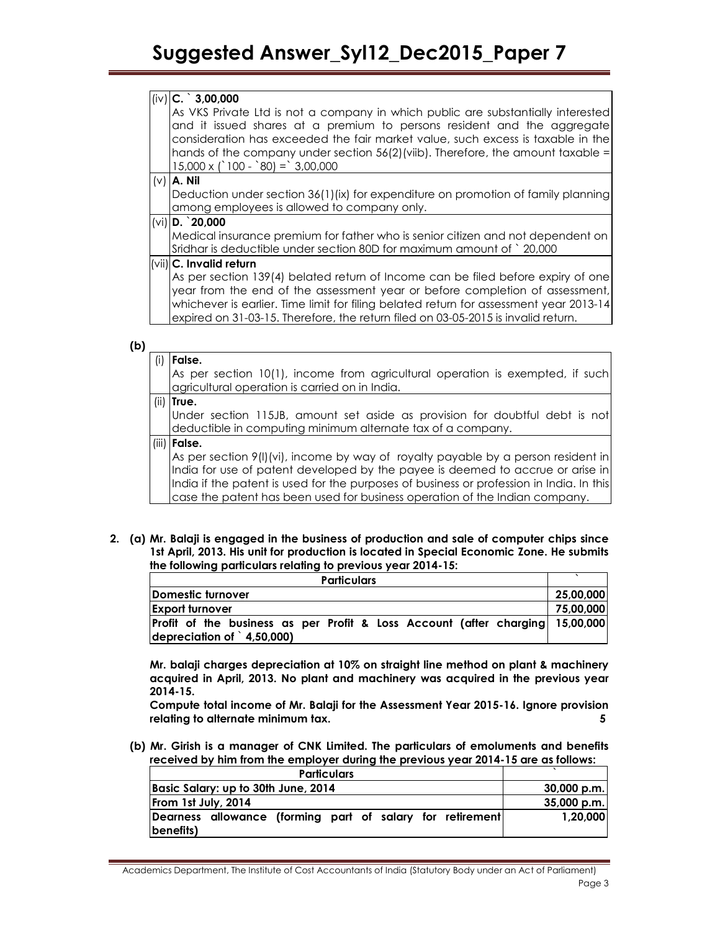# $(i \vee)$  C.  $\hat{ }$  3,00,000

As VKS Private Ltd is not a company in which public are substantially interested and it issued shares at a premium to persons resident and the aggregate consideration has exceeded the fair market value, such excess is taxable in the hands of the company under section  $56(2)$ (viib). Therefore, the amount taxable =  $15,000 \times (100 - 80) = 3,00,000$ 

 $(v)$  A. Nil

Deduction under section 36(1)(ix) for expenditure on promotion of family planning among employees is allowed to company only.

# $(vi)$  D.  $20,000$

Medical insurance premium for father who is senior citizen and not dependent on Sridhar is deductible under section 80D for maximum amount of ` 20,000

#### (vii) C. Invalid return

As per section 139(4) belated return of Income can be filed before expiry of one year from the end of the assessment year or before completion of assessment, whichever is earlier. Time limit for filing belated return for assessment year 2013-14 expired on 31-03-15. Therefore, the return filed on 03-05-2015 is invalid return.

# (b)

| False.                                                                                   |
|------------------------------------------------------------------------------------------|
| As per section 10(1), income from agricultural operation is exempted, if such            |
| agricultural operation is carried on in India.                                           |
| $(ii)$ True.                                                                             |
| Under section 115JB, amount set aside as provision for doubtful debt is not              |
| deductible in computing minimum alternate tax of a company.                              |
| (iii)   False.                                                                           |
| As per section $9(1)(vi)$ , income by way of royalty payable by a person resident in     |
| India for use of patent developed by the payee is deemed to accrue or arise in           |
| India if the patent is used for the purposes of business or profession in India. In this |
| case the patent has been used for business operation of the Indian company.              |

2. (a) Mr. Balaji is engaged in the business of production and sale of computer chips since 1st April, 2013. His unit for production is located in Special Economic Zone. He submits the following particulars relating to previous year 2014-15:

| <b>Particulars</b>                                                             |           |  |  |
|--------------------------------------------------------------------------------|-----------|--|--|
| <b>IDomestic turnover</b>                                                      | 25,00,000 |  |  |
| <b>Export turnover</b>                                                         | 75,00,000 |  |  |
| Profit of the business as per Profit & Loss Account (after charging 15,00,000) |           |  |  |
| depreciation of $\hat{ }$ 4,50,000)                                            |           |  |  |

Mr. balaji charges depreciation at 10% on straight line method on plant & machinery acquired in April, 2013. No plant and machinery was acquired in the previous year 2014-15.

Compute total income of Mr. Balaji for the Assessment Year 2015-16. Ignore provision relating to alternate minimum tax. 5

(b) Mr. Girish is a manager of CNK Limited. The particulars of emoluments and benefits received by him from the employer during the previous year 2014-15 are as follows:

| <b>Particulars</b>                                                      |               |
|-------------------------------------------------------------------------|---------------|
| Basic Salary: up to 30th June, 2014                                     | 30,000 p.m.   |
| From 1st July, 2014                                                     | $35,000$ p.m. |
| Dearness allowance (forming part of salary for retirement)<br>benefits) | 1.20.000      |

Academics Department, The Institute of Cost Accountants of India (Statutory Body under an Act of Parliament) Page 3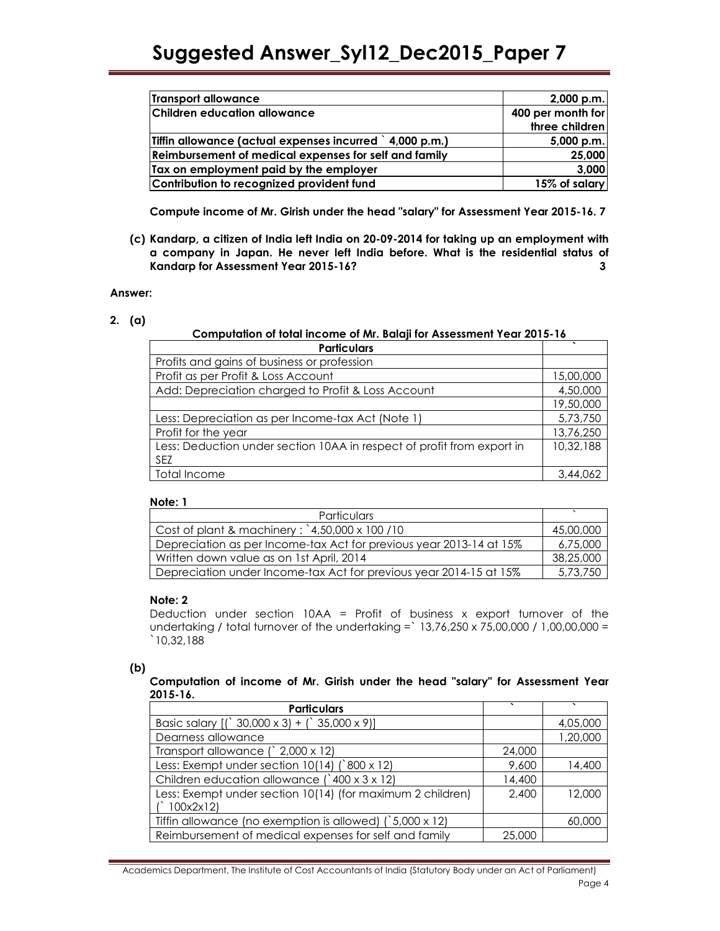| Transport allowance                                      | $2,000$ p.m.      |
|----------------------------------------------------------|-------------------|
| <b>Children education allowance</b>                      | 400 per month for |
|                                                          | three children    |
| Tiffin allowance (actual expenses incurred ) 4,000 p.m.) | $5,000$ p.m.      |
| Reimbursement of medical expenses for self and family    | 25,000            |
| Tax on employment paid by the employer                   | 3,000             |
| Contribution to recognized provident fund                | 15% of salary     |

Compute income of Mr. Girish under the head "salary" for Assessment Year 2015-16. 7

(c) Kandarp, a citizen of India left India on 20-09-2014 for taking up an employment with a company in Japan. He never left India before. What is the residential status of Kandarp for Assessment Year 2015-16? 3

### Answer:

2. (a)

# Computation of total income of Mr. Balaji for Assessment Year 2015-16

| <b>Particulars</b>                                                     |           |
|------------------------------------------------------------------------|-----------|
| Profits and gains of business or profession                            |           |
| Profit as per Profit & Loss Account                                    | 15,00,000 |
| Add: Depreciation charged to Profit & Loss Account                     | 4,50,000  |
|                                                                        | 19,50,000 |
| Less: Depreciation as per Income-tax Act (Note 1)                      | 5,73,750  |
| Profit for the year                                                    | 13,76,250 |
| Less: Deduction under section 10AA in respect of profit from export in | 10,32,188 |
| <b>SEZ</b>                                                             |           |
| Total Income                                                           | 3,44,062  |

#### Note: 1

| <b>Particulars</b>                                                  |           |
|---------------------------------------------------------------------|-----------|
| Cost of plant & machinery: $4,50,000 \times 100$ /10                | 45,00,000 |
| Depreciation as per Income-tax Act for previous year 2013-14 at 15% | 6,75,000  |
| Written down value as on 1st April, 2014                            | 38,25,000 |
| Depreciation under Income-tax Act for previous year 2014-15 at 15%  | 5,73,750  |

### Note: 2

Deduction under section  $10AA =$  Profit of business x export turnover of the undertaking / total turnover of the undertaking =` 13,76,250 x 75,00,000 / 1,00,00,000 = `10,32,188

### (b)

# Computation of income of Mr. Girish under the head "salary" for Assessment Year 2015-16.

| <b>Particulars</b>                                               |        |          |
|------------------------------------------------------------------|--------|----------|
| Basic salary $[(\, \text{30,000 x 3}) + (\, \text{35,000 x 9})]$ |        | 4,05,000 |
| Dearness allowance                                               |        | 1,20,000 |
| Transport allowance (`2,000 x 12)                                | 24,000 |          |
| Less: Exempt under section 10(14) (`800 x 12)                    | 9,600  | 14,400   |
| Children education allowance (`400 x 3 x 12)                     | 14,400 |          |
| Less: Exempt under section 10(14) (for maximum 2 children)       | 2,400  | 12,000   |
| 100x2x12                                                         |        |          |
| Tiffin allowance (no exemption is allowed) $(5,000 \times 12)$   |        | 60,000   |
| Reimbursement of medical expenses for self and family            | 25,000 |          |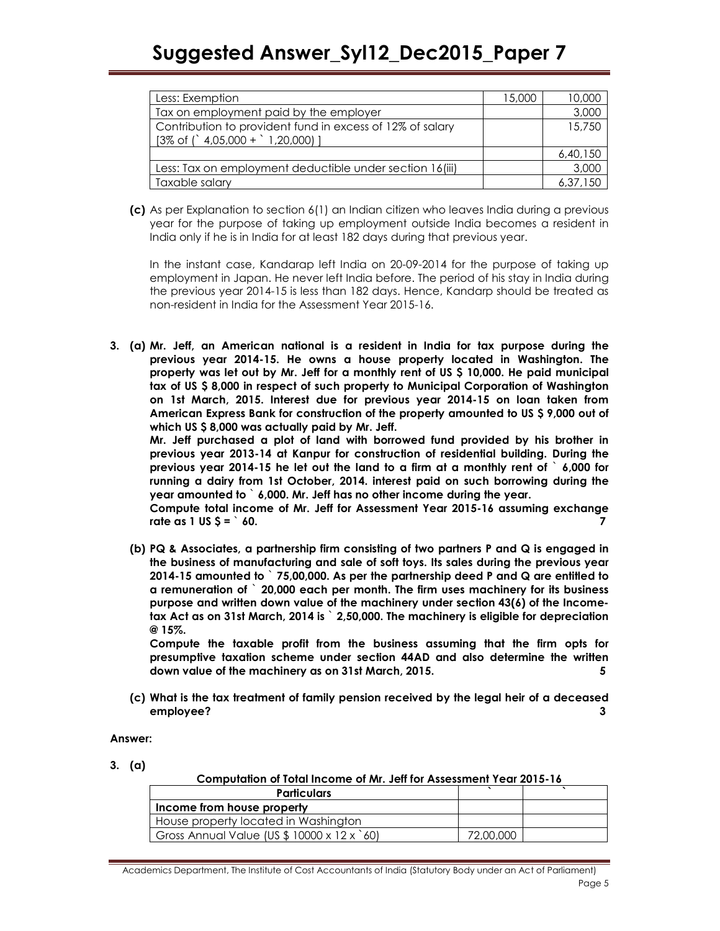| Less: Exemption                                           | 15,000 | 10,000   |
|-----------------------------------------------------------|--------|----------|
| Tax on employment paid by the employer                    |        | 3,000    |
| Contribution to provident fund in excess of 12% of salary |        | 15,750   |
| $[3\% \text{ of } '4,05,000 + '1,20,000]$                 |        |          |
|                                                           |        | 6,40,150 |
| Less: Tax on employment deductible under section 16(iii)  |        | 3,000    |
| Taxable salary                                            |        | 6,37,150 |

(c) As per Explanation to section 6(1) an Indian citizen who leaves India during a previous year for the purpose of taking up employment outside India becomes a resident in India only if he is in India for at least 182 days during that previous year.

In the instant case, Kandarap left India on 20-09-2014 for the purpose of taking up employment in Japan. He never left India before. The period of his stay in India during the previous year 2014-15 is less than 182 days. Hence, Kandarp should be treated as non-resident in India for the Assessment Year 2015-16.

3. (a) Mr. Jeff, an American national is a resident in India for tax purpose during the previous year 2014-15. He owns a house property located in Washington. The property was let out by Mr. Jeff for a monthly rent of US \$ 10,000. He paid municipal tax of US \$ 8,000 in respect of such property to Municipal Corporation of Washington on 1st March, 2015. Interest due for previous year 2014-15 on loan taken from American Express Bank for construction of the property amounted to US \$ 9,000 out of which US \$ 8,000 was actually paid by Mr. Jeff.

Mr. Jeff purchased a plot of land with borrowed fund provided by his brother in previous year 2013-14 at Kanpur for construction of residential building. During the previous year 2014-15 he let out the land to a firm at a monthly rent of ` 6,000 for running a dairy from 1st October, 2014. interest paid on such borrowing during the year amounted to ` 6,000. Mr. Jeff has no other income during the year.

Compute total income of Mr. Jeff for Assessment Year 2015-16 assuming exchange rate as 1 US  $$ =$   $^{\circ}$  60.

(b) PQ & Associates, a partnership firm consisting of two partners P and Q is engaged in the business of manufacturing and sale of soft toys. Its sales during the previous year 2014-15 amounted to ` 75,00,000. As per the partnership deed P and Q are entitled to a remuneration of  $\degree$  20,000 each per month. The firm uses machinery for its business purpose and written down value of the machinery under section 43(6) of the Incometax Act as on 31st March, 2014 is ` 2,50,000. The machinery is eligible for depreciation @ 15%.

Compute the taxable profit from the business assuming that the firm opts for presumptive taxation scheme under section 44AD and also determine the written down value of the machinery as on 31st March, 2015. 5

(c) What is the tax treatment of family pension received by the legal heir of a deceased employee? 3

Answer:

3. (a)

Computation of Total Income of Mr. Jeff for Assessment Year 2015-16

| <b>Particulars</b>                         |           |  |
|--------------------------------------------|-----------|--|
| Income from house property                 |           |  |
| House property located in Washington       |           |  |
| Gross Annual Value (US \$ 10000 x 12 x 60) | 72,00,000 |  |

Academics Department, The Institute of Cost Accountants of India (Statutory Body under an Act of Parliament) Page 5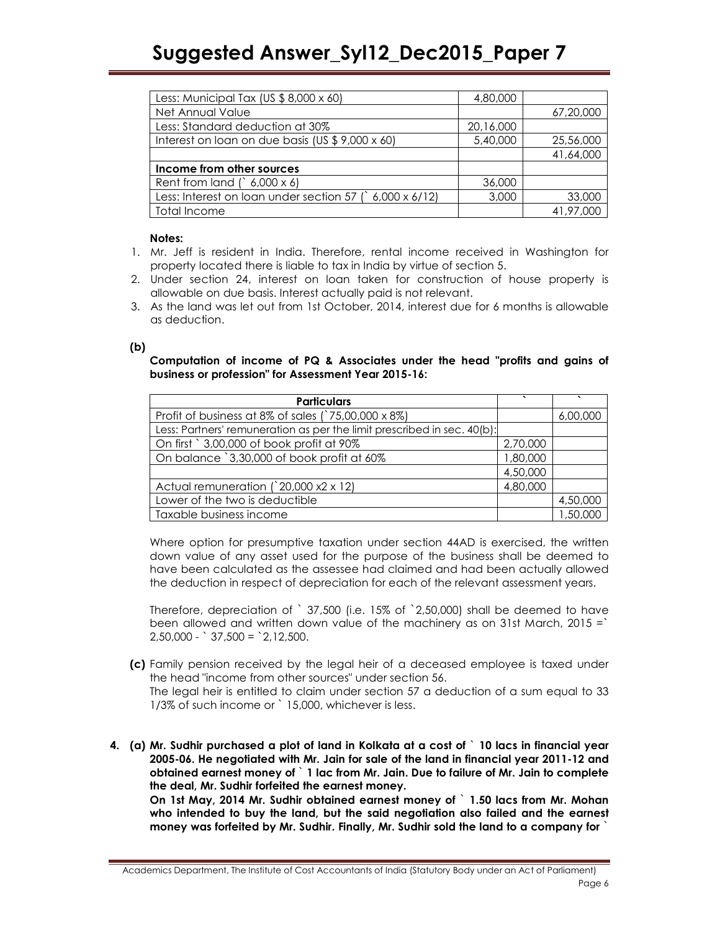| Less: Municipal Tax (US $$8,000 \times 60$ )              | 4,80,000  |           |
|-----------------------------------------------------------|-----------|-----------|
| Net Annual Value                                          |           | 67,20,000 |
| Less: Standard deduction at 30%                           | 20,16,000 |           |
| Interest on loan on due basis (US \$9,000 x 60)           | 5,40,000  | 25,56,000 |
|                                                           |           | 41,64,000 |
| Income from other sources                                 |           |           |
| Rent from land $($ 6,000 x 6)                             | 36,000    |           |
| Less: Interest on loan under section 57 $($ 6,000 x 6/12) | 3,000     | 33,000    |
| Total Income                                              |           | 41,97,000 |

### Notes:

- 1. Mr. Jeff is resident in India. Therefore, rental income received in Washington for property located there is liable to tax in India by virtue of section 5.
- 2. Under section 24, interest on loan taken for construction of house property is allowable on due basis. Interest actually paid is not relevant.
- 3. As the land was let out from 1st October, 2014, interest due for 6 months is allowable as deduction.

# (b)

Computation of income of PQ & Associates under the head "profits and gains of business or profession" for Assessment Year 2015-16:

| <b>Particulars</b>                                                      |          |          |
|-------------------------------------------------------------------------|----------|----------|
| Profit of business at 8% of sales (`75,00,000 x 8%)                     |          | 6,00,000 |
| Less: Partners' remuneration as per the limit prescribed in sec. 40(b): |          |          |
| On first ` 3,00,000 of book profit at 90%                               | 2,70,000 |          |
| On balance `3,30,000 of book profit at 60%                              | 1,80,000 |          |
|                                                                         | 4,50,000 |          |
| Actual remuneration (`20,000 x2 x 12)                                   | 4,80,000 |          |
| Lower of the two is deductible                                          |          | 4,50,000 |
| Taxable business income                                                 |          | 1,50,000 |

Where option for presumptive taxation under section 44AD is exercised, the written down value of any asset used for the purpose of the business shall be deemed to have been calculated as the assessee had claimed and had been actually allowed the deduction in respect of depreciation for each of the relevant assessment years.

Therefore, depreciation of ` 37,500 (i.e. 15% of `2,50,000) shall be deemed to have been allowed and written down value of the machinery as on 31st March,  $2015 =$  $2,50,000 - 37,500 = 2,12,500$ .

(c) Family pension received by the legal heir of a deceased employee is taxed under the head "income from other sources" under section 56.

The legal heir is entitled to claim under section 57 a deduction of a sum equal to 33 1/3% of such income or ` 15,000, whichever is less.

4. (a) Mr. Sudhir purchased a plot of land in Kolkata at a cost of ` 10 lacs in financial year 2005-06. He negotiated with Mr. Jain for sale of the land in financial year 2011-12 and obtained earnest money of ` 1 lac from Mr. Jain. Due to failure of Mr. Jain to complete the deal, Mr. Sudhir forfeited the earnest money.

On 1st May, 2014 Mr. Sudhir obtained earnest money of ` 1.50 lacs from Mr. Mohan who intended to buy the land, but the said negotiation also failed and the earnest money was forfeited by Mr. Sudhir. Finally, Mr. Sudhir sold the land to a company for `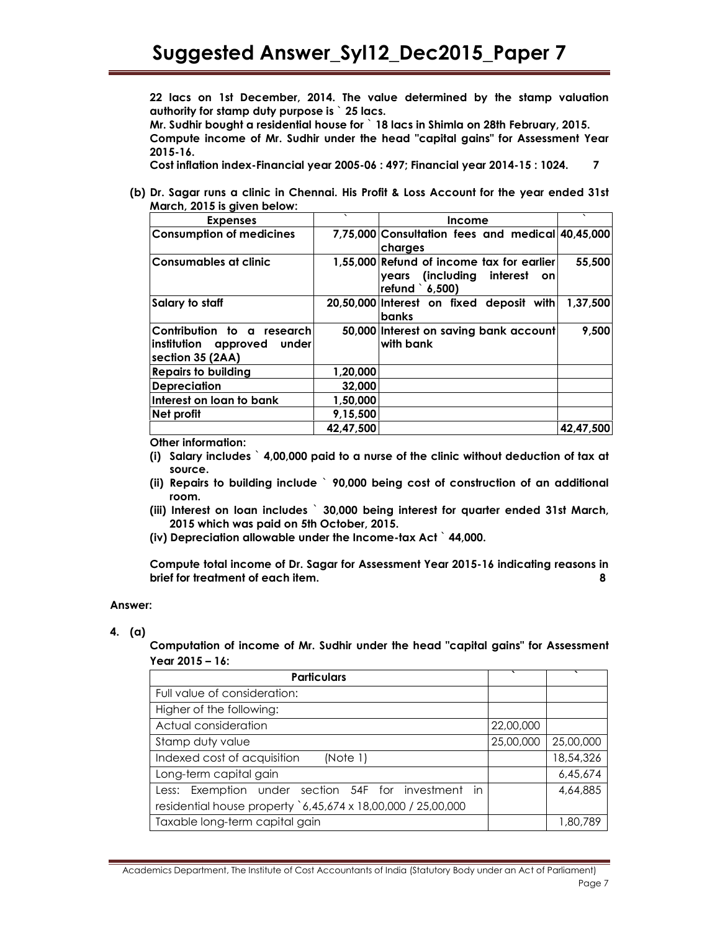22 lacs on 1st December, 2014. The value determined by the stamp valuation authority for stamp duty purpose is ` 25 lacs.

Mr. Sudhir bought a residential house for ` 18 lacs in Shimla on 28th February, 2015.

Compute income of Mr. Sudhir under the head "capital gains" for Assessment Year 2015-16.

Cost inflation index-Financial year 2005-06 : 497; Financial year 2014-15 : 1024. 7

(b) Dr. Sagar runs a clinic in Chennai. His Profit & Loss Account for the year ended 31st March, 2015 is given below:

| <b>Expenses</b>                                                               | $\cdot$   | <b>Income</b>                                                                                           | $\lambda$ |
|-------------------------------------------------------------------------------|-----------|---------------------------------------------------------------------------------------------------------|-----------|
| <b>Consumption of medicines</b>                                               |           | 7,75,000 Consultation fees and medical 40,45,000<br>charges                                             |           |
| <b>Consumables at clinic</b>                                                  |           | 1,55,000 Refund of income tax for earlier<br>years (including<br>interest<br><b>on</b><br>refund 6,500) | 55,500    |
| Salary to staff                                                               |           | 20,50,000 Interest on fixed deposit with<br>banks                                                       | 1,37,500  |
| Contribution to a research <br>institution approved under<br>section 35 (2AA) |           | 50,000 Interest on saving bank account<br>with bank                                                     | 9,500     |
| <b>Repairs to building</b>                                                    | 1,20,000  |                                                                                                         |           |
| <b>Depreciation</b>                                                           | 32,000    |                                                                                                         |           |
| Interest on loan to bank                                                      | 1,50,000  |                                                                                                         |           |
| Net profit                                                                    | 9,15,500  |                                                                                                         |           |
|                                                                               | 42.47.500 |                                                                                                         | 42,47,500 |

Other information:

- (i) Salary includes ` 4,00,000 paid to a nurse of the clinic without deduction of tax at source.
- (ii) Repairs to building include ` 90,000 being cost of construction of an additional room.
- (iii) Interest on loan includes ` 30,000 being interest for quarter ended 31st March, 2015 which was paid on 5th October, 2015.
- (iv) Depreciation allowable under the Income-tax Act ` 44,000.

Compute total income of Dr. Sagar for Assessment Year 2015-16 indicating reasons in brief for treatment of each item. 8

### Answer:

4. (a)

Computation of income of Mr. Sudhir under the head "capital gains" for Assessment Year 2015 – 16:

| <b>Particulars</b>                                           | ↖         |           |
|--------------------------------------------------------------|-----------|-----------|
| Full value of consideration:                                 |           |           |
| Higher of the following:                                     |           |           |
| Actual consideration                                         | 22,00,000 |           |
| Stamp duty value                                             | 25,00,000 | 25,00,000 |
| Indexed cost of acquisition<br>(Note 1)                      |           | 18,54,326 |
| Long-term capital gain                                       |           | 6,45,674  |
| Less: Exemption under section 54F for investment in          |           | 4,64,885  |
| residential house property `6,45,674 x 18,00,000 / 25,00,000 |           |           |
| Taxable long-term capital gain                               |           | 1,80,789  |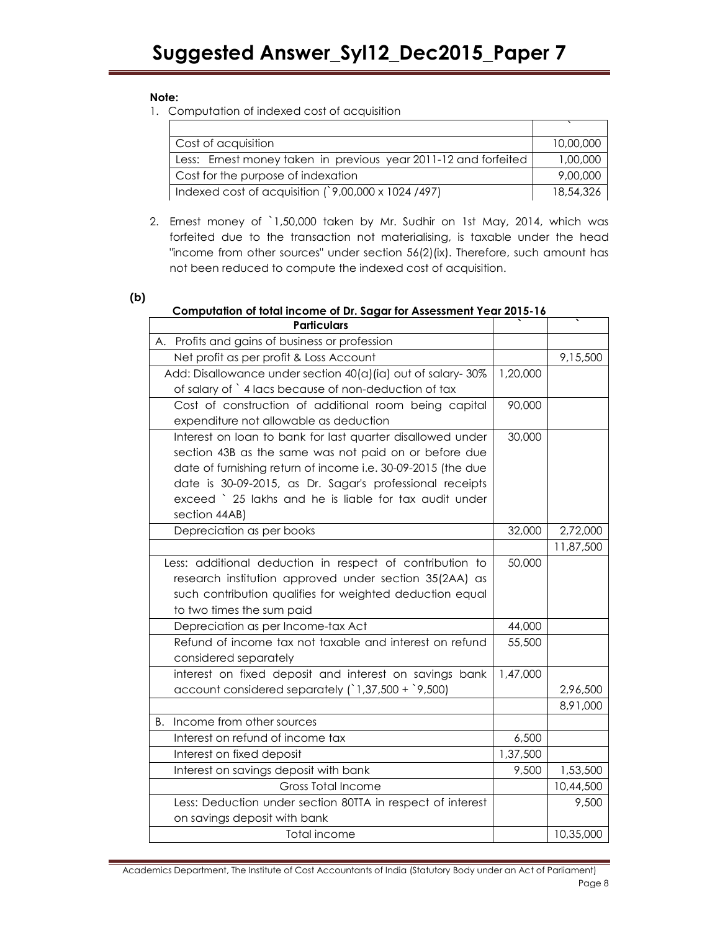# Note:

1. Computation of indexed cost of acquisition

| Cost of acquisition                                             | 10,00,000 |
|-----------------------------------------------------------------|-----------|
| Less: Ernest money taken in previous year 2011-12 and forfeited | 1,00,000  |
| Cost for the purpose of indexation                              | 9,00,000  |
| Indexed cost of acquisition $($ 9,00,000 x 1024 /497)           | 18,54,326 |

2. Ernest money of `1,50,000 taken by Mr. Sudhir on 1st May, 2014, which was forfeited due to the transaction not materialising, is taxable under the head "income from other sources" under section 56(2)(ix). Therefore, such amount has not been reduced to compute the indexed cost of acquisition.

# (b)

# Computation of total income of Dr. Sagar for Assessment Year 2015-16

| <b>Particulars</b>                                           |                  |           |
|--------------------------------------------------------------|------------------|-----------|
| A. Profits and gains of business or profession               |                  |           |
| Net profit as per profit & Loss Account                      |                  | 9,15,500  |
| Add: Disallowance under section 40(a)(ia) out of salary-30%  |                  |           |
| of salary of `4 lacs because of non-deduction of tax         |                  |           |
| Cost of construction of additional room being capital        | 90,000           |           |
| expenditure not allowable as deduction                       |                  |           |
| Interest on loan to bank for last quarter disallowed under   | 30,000           |           |
| section 43B as the same was not paid on or before due        |                  |           |
| date of furnishing return of income i.e. 30-09-2015 (the due |                  |           |
| date is 30-09-2015, as Dr. Sagar's professional receipts     |                  |           |
| exceed ` 25 lakhs and he is liable for tax audit under       |                  |           |
| section 44AB)                                                |                  |           |
| Depreciation as per books                                    | 32,000           | 2,72,000  |
|                                                              |                  | 11,87,500 |
| Less: additional deduction in respect of contribution to     | 50,000           |           |
| research institution approved under section 35(2AA) as       |                  |           |
| such contribution qualifies for weighted deduction equal     |                  |           |
| to two times the sum paid                                    |                  |           |
| Depreciation as per Income-tax Act                           | 44,000<br>55,500 |           |
| Refund of income tax not taxable and interest on refund      |                  |           |
| considered separately                                        |                  |           |
| interest on fixed deposit and interest on savings bank       | 1,47,000         |           |
| account considered separately $(1,37,500 + 9,500)$           |                  | 2,96,500  |
|                                                              |                  | 8,91,000  |
| Income from other sources<br>В.                              | 6,500            |           |
| Interest on refund of income tax                             |                  |           |
| Interest on fixed deposit                                    |                  |           |
| Interest on savings deposit with bank                        |                  | 1,53,500  |
| <b>Gross Total Income</b>                                    |                  | 10,44,500 |
| Less: Deduction under section 80TTA in respect of interest   |                  | 9,500     |
| on savings deposit with bank                                 |                  |           |
| Total income                                                 |                  | 10,35,000 |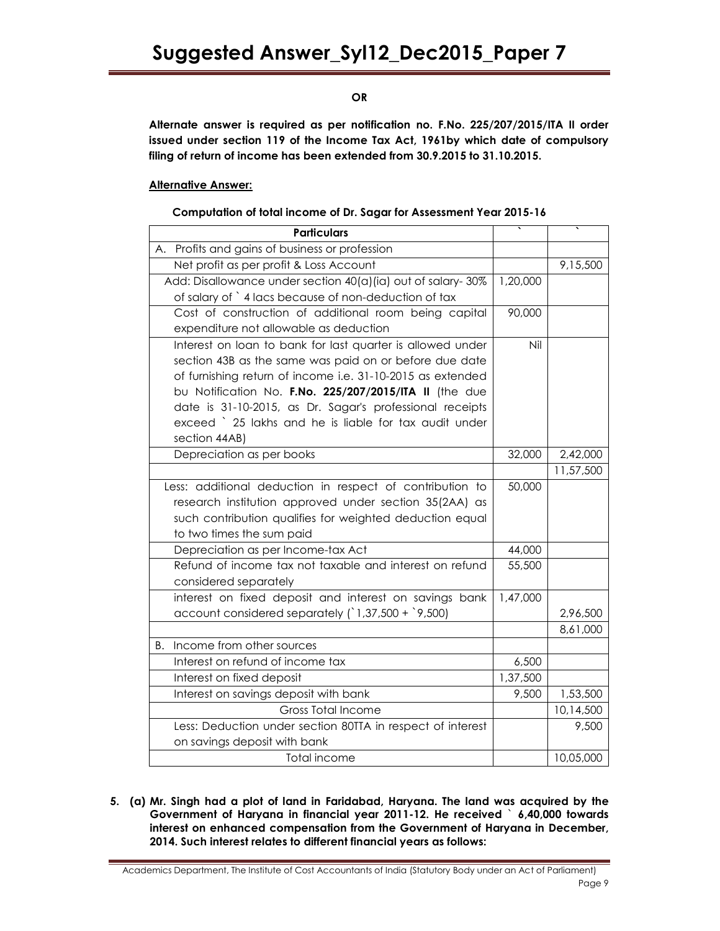OR

Alternate answer is required as per notification no. F.No. 225/207/2015/ITA II order issued under section 119 of the Income Tax Act, 1961by which date of compulsory filing of return of income has been extended from 30.9.2015 to 31.10.2015.

# Alternative Answer:

### Computation of total income of Dr. Sagar for Assessment Year 2015-16

| <b>Particulars</b>                                          |          |           |
|-------------------------------------------------------------|----------|-----------|
| A. Profits and gains of business or profession              |          |           |
| Net profit as per profit & Loss Account                     |          | 9,15,500  |
| Add: Disallowance under section 40(a)(ia) out of salary-30% | 1,20,000 |           |
| of salary of `4 lacs because of non-deduction of tax        |          |           |
| Cost of construction of additional room being capital       | 90,000   |           |
| expenditure not allowable as deduction                      |          |           |
| Interest on loan to bank for last quarter is allowed under  | Nil      |           |
| section 43B as the same was paid on or before due date      |          |           |
| of furnishing return of income i.e. 31-10-2015 as extended  |          |           |
| bu Notification No. F.No. 225/207/2015/ITA II (the due      |          |           |
| date is 31-10-2015, as Dr. Sagar's professional receipts    |          |           |
| exceed ` 25 lakhs and he is liable for tax audit under      |          |           |
| section 44AB)                                               |          |           |
| Depreciation as per books                                   | 32,000   | 2,42,000  |
|                                                             |          | 11,57,500 |
| Less: additional deduction in respect of contribution to    | 50,000   |           |
| research institution approved under section 35(2AA) as      |          |           |
| such contribution qualifies for weighted deduction equal    |          |           |
| to two times the sum paid                                   |          |           |
| Depreciation as per Income-tax Act                          | 44,000   |           |
| Refund of income tax not taxable and interest on refund     | 55,500   |           |
| considered separately                                       |          |           |
| interest on fixed deposit and interest on savings bank      | 1,47,000 |           |
| account considered separately $(1,37,500 + 9,500)$          |          | 2,96,500  |
|                                                             |          | 8,61,000  |
| Income from other sources<br>В.                             |          |           |
| Interest on refund of income tax                            | 6,500    |           |
| Interest on fixed deposit                                   | 1,37,500 |           |
| Interest on savings deposit with bank                       | 9,500    | 1,53,500  |
| <b>Gross Total Income</b>                                   |          | 10,14,500 |
| Less: Deduction under section 80TTA in respect of interest  |          | 9,500     |
| on savings deposit with bank                                |          |           |
| Total income                                                |          | 10,05,000 |

5. (a) Mr. Singh had a plot of land in Faridabad, Haryana. The land was acquired by the Government of Haryana in financial year 2011-12. He received ` 6,40,000 towards interest on enhanced compensation from the Government of Haryana in December, 2014. Such interest relates to different financial years as follows:

Academics Department, The Institute of Cost Accountants of India (Statutory Body under an Act of Parliament) Page 9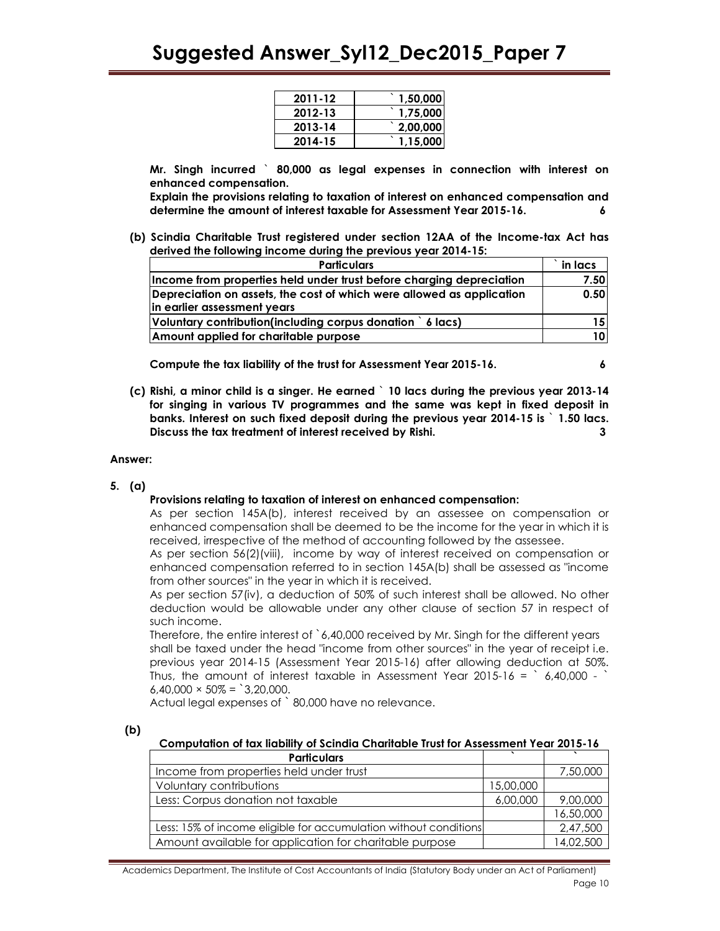| 2011-12 | 1,50,000 |
|---------|----------|
| 2012-13 | 1,75,000 |
| 2013-14 | 2,00,000 |
| 2014-15 | 1,15,000 |

Mr. Singh incurred ` 80,000 as legal expenses in connection with interest on enhanced compensation.

Explain the provisions relating to taxation of interest on enhanced compensation and determine the amount of interest taxable for Assessment Year 2015-16. 6

(b) Scindia Charitable Trust registered under section 12AA of the Income-tax Act has derived the following income during the previous year 2014-15:

| <b>Particulars</b>                                                    |  |
|-----------------------------------------------------------------------|--|
| Income from properties held under trust before charging depreciation  |  |
| Depreciation on assets, the cost of which were allowed as application |  |
| in earlier assessment years                                           |  |
| Voluntary contribution(including corpus donation ) 6 lacs)            |  |
| Amount applied for charitable purpose                                 |  |

Compute the tax liability of the trust for Assessment Year 2015-16. 6

(c) Rishi, a minor child is a singer. He earned ` 10 lacs during the previous year 2013-14 for singing in various TV programmes and the same was kept in fixed deposit in banks. Interest on such fixed deposit during the previous year 2014-15 is ` 1.50 lacs. Discuss the tax treatment of interest received by Rishi. 3

#### Answer:

5. (a)

### Provisions relating to taxation of interest on enhanced compensation:

As per section 145A(b), interest received by an assessee on compensation or enhanced compensation shall be deemed to be the income for the year in which it is received, irrespective of the method of accounting followed by the assessee.

As per section 56(2)(viii), income by way of interest received on compensation or enhanced compensation referred to in section 145A(b) shall be assessed as "income from other sources" in the year in which it is received.

As per section 57(iv), a deduction of 50% of such interest shall be allowed. No other deduction would be allowable under any other clause of section 57 in respect of such income.

Therefore, the entire interest of `6,40,000 received by Mr. Singh for the different years shall be taxed under the head "income from other sources" in the year of receipt i.e. previous year 2014-15 (Assessment Year 2015-16) after allowing deduction at 50%. Thus, the amount of interest taxable in Assessment Year 2015-16 =  $6,40,000 - 7$  $6,40,000 \times 50\% =$  3,20,000.

Actual legal expenses of ` 80,000 have no relevance.

| ۰. |
|----|

#### Computation of tax liability of Scindia Charitable Trust for Assessment Year 2015-16

| <b>Particulars</b>                                               |  |           |
|------------------------------------------------------------------|--|-----------|
| Income from properties held under trust                          |  | 7,50,000  |
| Voluntary contributions<br>15,00,000                             |  |           |
| Less: Corpus donation not taxable                                |  | 9,00,000  |
|                                                                  |  | 16,50,000 |
| Less: 15% of income eligible for accumulation without conditions |  | 2,47,500  |
| Amount available for application for charitable purpose          |  | 14,02,500 |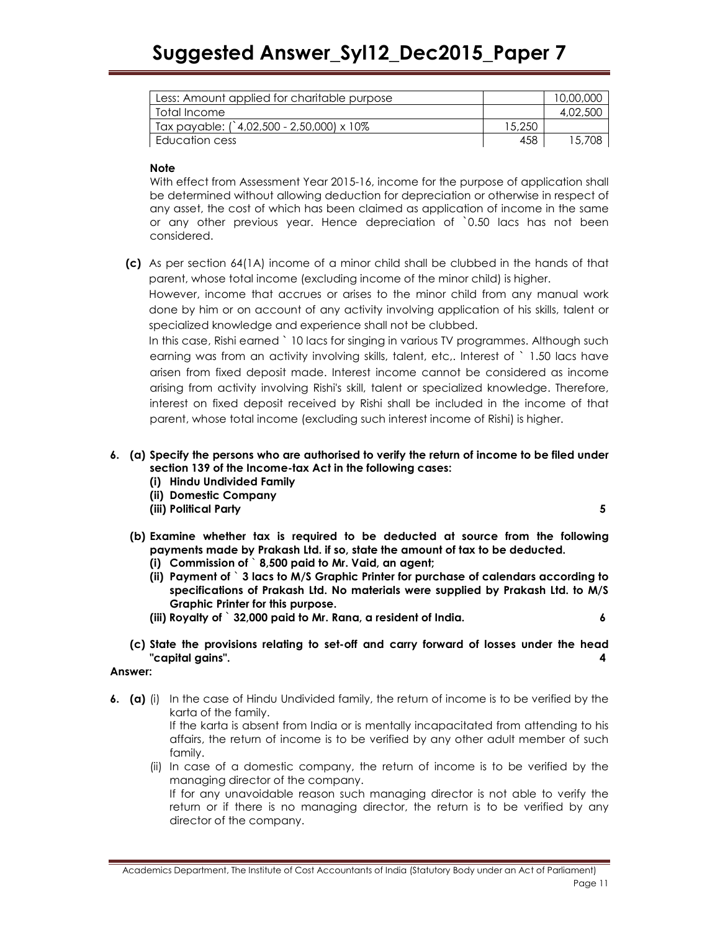| Less: Amount applied for charitable purpose |        | 10,00,000 |
|---------------------------------------------|--------|-----------|
| Total Income                                |        | 4,02,500  |
| Tax payable: (`4,02,500 - 2,50,000) x 10%   | 15,250 |           |
| Education cess                              | 458    | 15,708    |

### **Note**

With effect from Assessment Year 2015-16, income for the purpose of application shall be determined without allowing deduction for depreciation or otherwise in respect of any asset, the cost of which has been claimed as application of income in the same or any other previous year. Hence depreciation of `0.50 lacs has not been considered.

(c) As per section 64(1A) income of a minor child shall be clubbed in the hands of that parent, whose total income (excluding income of the minor child) is higher.

However, income that accrues or arises to the minor child from any manual work done by him or on account of any activity involving application of his skills, talent or specialized knowledge and experience shall not be clubbed.

In this case, Rishi earned ` 10 lacs for singing in various TV programmes. Although such earning was from an activity involving skills, talent, etc,. Interest of ` 1.50 lacs have arisen from fixed deposit made. Interest income cannot be considered as income arising from activity involving Rishi's skill, talent or specialized knowledge. Therefore, interest on fixed deposit received by Rishi shall be included in the income of that parent, whose total income (excluding such interest income of Rishi) is higher.

- 6. (a) Specify the persons who are authorised to verify the return of income to be filed under section 139 of the Income-tax Act in the following cases:
	- (i) Hindu Undivided Family
	- (ii) Domestic Company
	- (iii) Political Party 5

- (b) Examine whether tax is required to be deducted at source from the following payments made by Prakash Ltd. if so, state the amount of tax to be deducted.
	- (i) Commission of ` 8,500 paid to Mr. Vaid, an agent;
	- (ii) Payment of ` 3 lacs to M/S Graphic Printer for purchase of calendars according to specifications of Prakash Ltd. No materials were supplied by Prakash Ltd. to M/S Graphic Printer for this purpose.
	- (iii) Royalty of  $\hat{ }$  32,000 paid to Mr. Rana, a resident of India.  $\hat{ }$  6
- (c) State the provisions relating to set-off and carry forward of losses under the head "capital gains". 4

### Answer:

6. (a) (i) In the case of Hindu Undivided family, the return of income is to be verified by the karta of the family.

If the karta is absent from India or is mentally incapacitated from attending to his affairs, the return of income is to be verified by any other adult member of such family.

(ii) In case of a domestic company, the return of income is to be verified by the managing director of the company.

If for any unavoidable reason such managing director is not able to verify the return or if there is no managing director, the return is to be verified by any director of the company.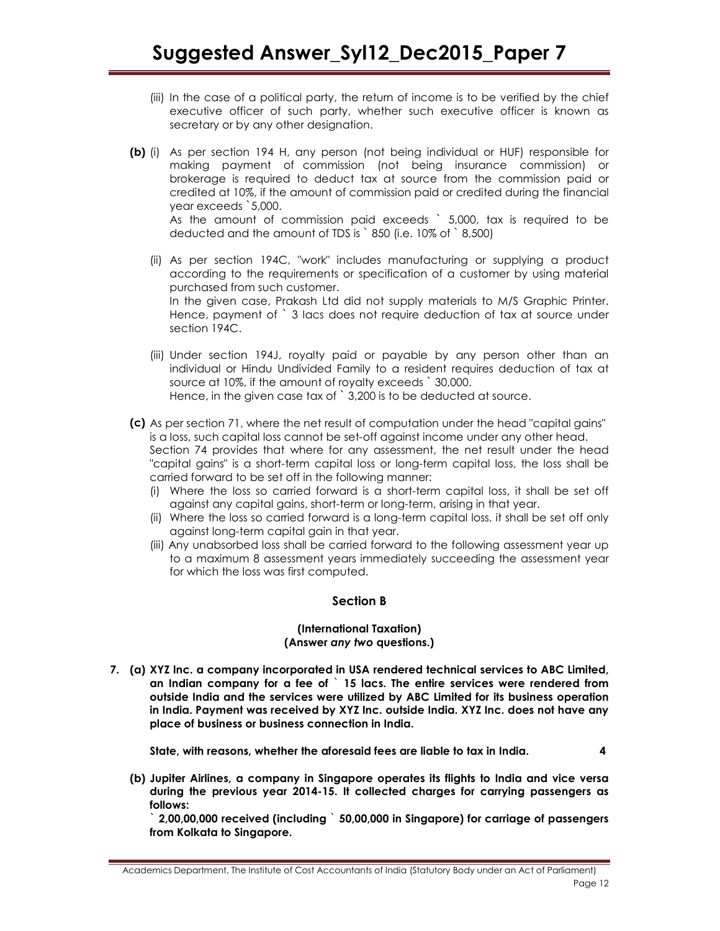- (iii) In the case of a political party, the return of income is to be verified by the chief executive officer of such party, whether such executive officer is known as secretary or by any other designation.
- (b) (i) As per section 194 H, any person (not being individual or HUF) responsible for making payment of commission (not being insurance commission) or brokerage is required to deduct tax at source from the commission paid or credited at 10%, if the amount of commission paid or credited during the financial year exceeds `5,000. As the amount of commission paid exceeds ` 5,000, tax is required to be deducted and the amount of TDS is ` 850 (i.e. 10% of ` 8,500)
	- (ii) As per section 194C, "work" includes manufacturing or supplying a product according to the requirements or specification of a customer by using material purchased from such customer. In the given case, Prakash Ltd did not supply materials to M/S Graphic Printer. Hence, payment of ` 3 lacs does not require deduction of tax at source under section 194C.
	- (iii) Under section 194J, royalty paid or payable by any person other than an individual or Hindu Undivided Family to a resident requires deduction of tax at source at 10%, if the amount of royalty exceeds ` 30,000. Hence, in the given case tax of `3,200 is to be deducted at source.
- (c) As per section 71, where the net result of computation under the head "capital gains" is a loss, such capital loss cannot be set-off against income under any other head. Section 74 provides that where for any assessment, the net result under the head "capital gains" is a short-term capital loss or long-term capital loss, the loss shall be carried forward to be set off in the following manner:
	- (i) Where the loss so carried forward is a short-term capital loss, it shall be set off against any capital gains, short-term or long-term, arising in that year.
	- (ii) Where the loss so carried forward is a long-term capital loss, it shall be set off only against long-term capital gain in that year.
	- (iii) Any unabsorbed loss shall be carried forward to the following assessment year up to a maximum 8 assessment years immediately succeeding the assessment year for which the loss was first computed.

# Section B

#### (International Taxation) (Answer any two questions.)

7. (a) XYZ Inc. a company incorporated in USA rendered technical services to ABC Limited, an Indian company for a fee of ` 15 lacs. The entire services were rendered from outside India and the services were utilized by ABC Limited for its business operation in India. Payment was received by XYZ Inc. outside India. XYZ Inc. does not have any place of business or business connection in India.

State, with reasons, whether the aforesaid fees are liable to tax in India. 4

(b) Jupiter Airlines, a company in Singapore operates its flights to India and vice versa during the previous year 2014-15. It collected charges for carrying passengers as follows:

` 2,00,00,000 received (including ` 50,00,000 in Singapore) for carriage of passengers from Kolkata to Singapore.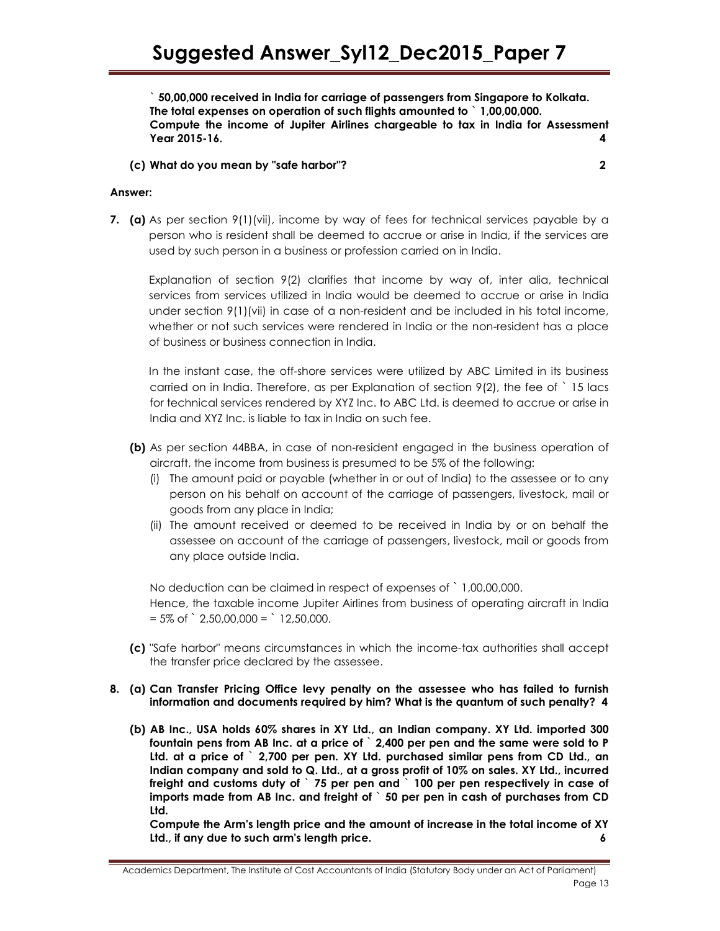` 50,00,000 received in India for carriage of passengers from Singapore to Kolkata. The total expenses on operation of such flights amounted to ` 1,00,00,000. Compute the income of Jupiter Airlines chargeable to tax in India for Assessment Year 2015-16. 4

# (c) What do you mean by "safe harbor"? 2

#### Answer:

7. (a) As per section  $9(1)(vii)$ , income by way of fees for technical services payable by a person who is resident shall be deemed to accrue or arise in India, if the services are used by such person in a business or profession carried on in India.

Explanation of section 9(2) clarifies that income by way of, inter alia, technical services from services utilized in India would be deemed to accrue or arise in India under section 9(1)(vii) in case of a non-resident and be included in his total income, whether or not such services were rendered in India or the non-resident has a place of business or business connection in India.

In the instant case, the off-shore services were utilized by ABC Limited in its business carried on in India. Therefore, as per Explanation of section 9(2), the fee of ` 15 lacs for technical services rendered by XYZ Inc. to ABC Ltd. is deemed to accrue or arise in India and XYZ Inc. is liable to tax in India on such fee.

- (b) As per section 44BBA, in case of non-resident engaged in the business operation of aircraft, the income from business is presumed to be 5% of the following:
	- (i) The amount paid or payable (whether in or out of India) to the assessee or to any person on his behalf on account of the carriage of passengers, livestock, mail or goods from any place in India;
	- (ii) The amount received or deemed to be received in India by or on behalf the assessee on account of the carriage of passengers, livestock, mail or goods from any place outside India.

No deduction can be claimed in respect of expenses of ` 1,00,00,000.

Hence, the taxable income Jupiter Airlines from business of operating aircraft in India  $= 5\% \text{ of }$   $\degree$  2,50,00,000 =  $\degree$  12,50,000.

- (c) "Safe harbor" means circumstances in which the income-tax authorities shall accept the transfer price declared by the assessee.
- 8. (a) Can Transfer Pricing Office levy penalty on the assessee who has failed to furnish information and documents required by him? What is the quantum of such penalty? 4
	- (b) AB Inc., USA holds 60% shares in XY Ltd., an Indian company. XY Ltd. imported 300 fountain pens from AB Inc. at a price of ` 2,400 per pen and the same were sold to P Ltd. at a price of ` 2,700 per pen. XY Ltd. purchased similar pens from CD Ltd., an Indian company and sold to Q. Ltd., at a gross profit of 10% on sales. XY Ltd., incurred freight and customs duty of ` 75 per pen and ` 100 per pen respectively in case of imports made from AB Inc. and freight of ` 50 per pen in cash of purchases from CD Ltd.

Compute the Arm's length price and the amount of increase in the total income of XY Ltd., if any due to such arm's length price. 6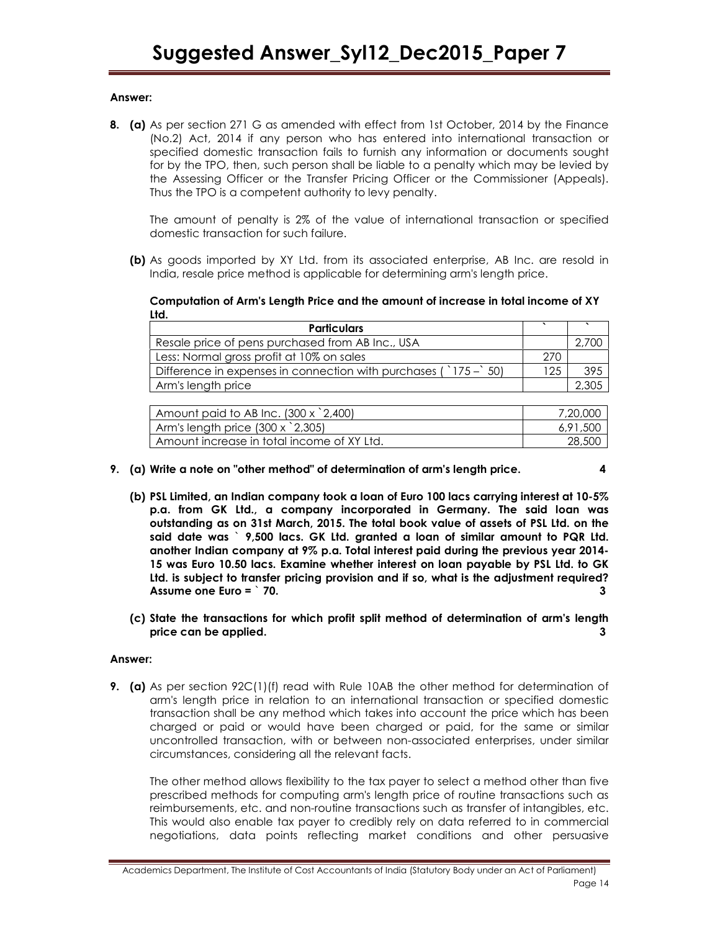### Answer:

8. (a) As per section 271 G as amended with effect from 1st October, 2014 by the Finance (No.2) Act, 2014 if any person who has entered into international transaction or specified domestic transaction fails to furnish any information or documents sought for by the TPO, then, such person shall be liable to a penalty which may be levied by the Assessing Officer or the Transfer Pricing Officer or the Commissioner (Appeals). Thus the TPO is a competent authority to levy penalty.

The amount of penalty is 2% of the value of international transaction or specified domestic transaction for such failure.

(b) As goods imported by XY Ltd. from its associated enterprise, AB Inc. are resold in India, resale price method is applicable for determining arm's length price.

Computation of Arm's Length Price and the amount of increase in total income of XY Ltd.

| <b>Particulars</b>                                                                  |     |     |
|-------------------------------------------------------------------------------------|-----|-----|
| Resale price of pens purchased from AB Inc., USA                                    |     |     |
| Less: Normal gross profit at 10% on sales                                           | 270 |     |
| Difference in expenses in connection with purchases ( $\degree$ 175 – $\degree$ 50) |     | 395 |
| Arm's length price                                                                  |     |     |

| Amount paid to AB Inc. $(300 \times 2,400)$ | 7,20,000 |
|---------------------------------------------|----------|
| Arm's length price $(300 \times 2,305)$     | 6.91.500 |
| Amount increase in total income of XY Ltd.  | 28,500   |

- 9. (a) Write a note on "other method" of determination of arm's length price. 4
	- (b) PSL Limited, an Indian company took a loan of Euro 100 lacs carrying interest at 10-5% p.a. from GK Ltd., a company incorporated in Germany. The said loan was outstanding as on 31st March, 2015. The total book value of assets of PSL Ltd. on the said date was ` 9,500 lacs. GK Ltd. granted a loan of similar amount to PQR Ltd. another Indian company at 9% p.a. Total interest paid during the previous year 2014- 15 was Euro 10.50 lacs. Examine whether interest on loan payable by PSL Ltd. to GK Ltd. is subject to transfer pricing provision and if so, what is the adjustment required? Assume one Euro = ` 70. 3
	- (c) State the transactions for which profit split method of determination of arm's length price can be applied. 3

### Answer:

**9.** (a) As per section  $92C(1)(f)$  read with Rule 10AB the other method for determination of arm's length price in relation to an international transaction or specified domestic transaction shall be any method which takes into account the price which has been charged or paid or would have been charged or paid, for the same or similar uncontrolled transaction, with or between non-associated enterprises, under similar circumstances, considering all the relevant facts.

The other method allows flexibility to the tax payer to select a method other than five prescribed methods for computing arm's length price of routine transactions such as reimbursements, etc. and non-routine transactions such as transfer of intangibles, etc. This would also enable tax payer to credibly rely on data referred to in commercial negotiations, data points reflecting market conditions and other persuasive